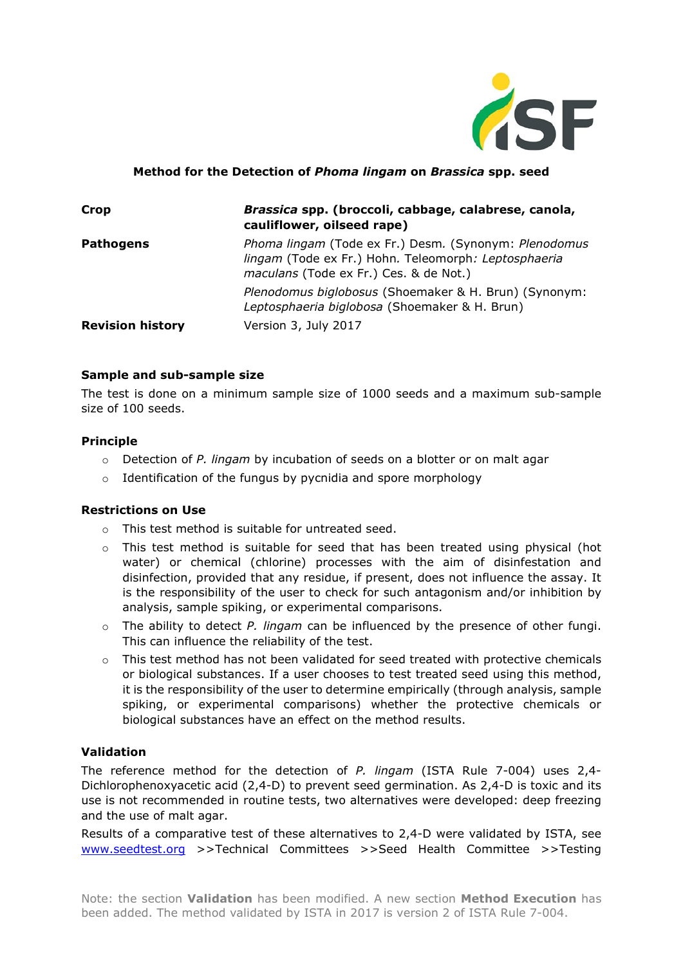

## **Method for the Detection of** *Phoma lingam* **on** *Brassica* **spp. seed**

| Crop                    | Brassica spp. (broccoli, cabbage, calabrese, canola,<br>cauliflower, oilseed rape)                                                                      |
|-------------------------|---------------------------------------------------------------------------------------------------------------------------------------------------------|
| <b>Pathogens</b>        | Phoma lingam (Tode ex Fr.) Desm. (Synonym: Plenodomus<br>lingam (Tode ex Fr.) Hohn. Teleomorph: Leptosphaeria<br>maculans (Tode ex Fr.) Ces. & de Not.) |
|                         | Plenodomus biglobosus (Shoemaker & H. Brun) (Synonym:<br>Leptosphaeria biglobosa (Shoemaker & H. Brun)                                                  |
| <b>Revision history</b> | Version 3, July 2017                                                                                                                                    |

#### **Sample and sub-sample size**

The test is done on a minimum sample size of 1000 seeds and a maximum sub-sample size of 100 seeds.

#### **Principle**

- o Detection of *P. lingam* by incubation of seeds on a blotter or on malt agar
- o Identification of the fungus by pycnidia and spore morphology

#### **Restrictions on Use**

- o This test method is suitable for untreated seed.
- o This test method is suitable for seed that has been treated using physical (hot water) or chemical (chlorine) processes with the aim of disinfestation and disinfection, provided that any residue, if present, does not influence the assay. It is the responsibility of the user to check for such antagonism and/or inhibition by analysis, sample spiking, or experimental comparisons.
- o The ability to detect *P. lingam* can be influenced by the presence of other fungi. This can influence the reliability of the test.
- o This test method has not been validated for seed treated with protective chemicals or biological substances. If a user chooses to test treated seed using this method, it is the responsibility of the user to determine empirically (through analysis, sample spiking, or experimental comparisons) whether the protective chemicals or biological substances have an effect on the method results.

## **Validation**

The reference method for the detection of *P. lingam* (ISTA Rule 7-004) uses 2,4- Dichlorophenoxyacetic acid (2,4-D) to prevent seed germination. As 2,4-D is toxic and its use is not recommended in routine tests, two alternatives were developed: deep freezing and the use of malt agar.

Results of a comparative test of these alternatives to 2,4-D were validated by ISTA, see [www.seedtest.org](http://www.seedtest.org/) >>Technical Committees >>Seed Health Committee >>Testing